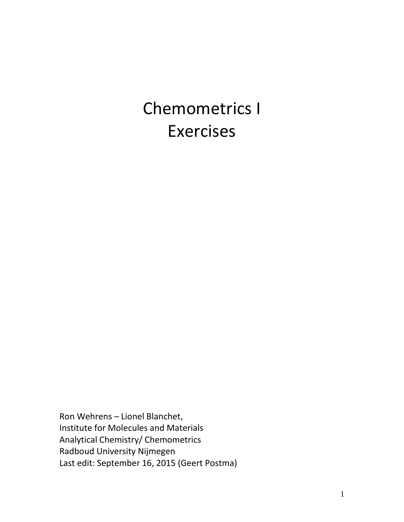# Chemometrics I Exercises

Ron Wehrens – Lionel Blanchet, Institute for Molecules and Materials Analytical Chemistry/ Chemometrics Radboud University Nijmegen Last edit: September 16, 2015 (Geert Postma)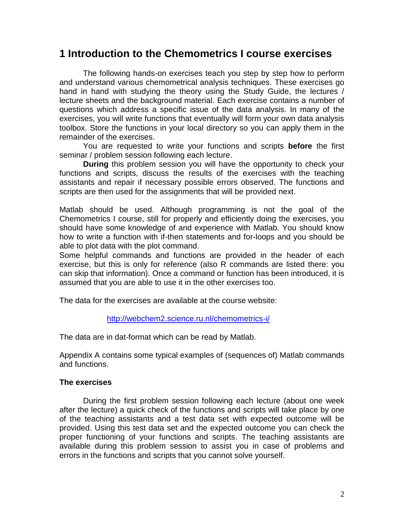## **1 Introduction to the Chemometrics I course exercises**

The following hands-on exercises teach you step by step how to perform and understand various chemometrical analysis techniques. These exercises go hand in hand with studying the theory using the Study Guide, the lectures / lecture sheets and the background material. Each exercise contains a number of questions which address a specific issue of the data analysis. In many of the exercises, you will write functions that eventually will form your own data analysis toolbox. Store the functions in your local directory so you can apply them in the remainder of the exercises.

You are requested to write your functions and scripts **before** the first seminar / problem session following each lecture.

**During** this problem session you will have the opportunity to check your functions and scripts, discuss the results of the exercises with the teaching assistants and repair if necessary possible errors observed. The functions and scripts are then used for the assignments that will be provided next.

Matlab should be used. Although programming is not the goal of the Chemometrics I course, still for properly and efficiently doing the exercises, you should have some knowledge of and experience with Matlab. You should know how to write a function with if-then statements and for-loops and you should be able to plot data with the plot command.

Some helpful commands and functions are provided in the header of each exercise, but this is only for reference (also R commands are listed there: you can skip that information). Once a command or function has been introduced, it is assumed that you are able to use it in the other exercises too.

The data for the exercises are available at the course website:

#### <http://webchem2.science.ru.nl/chemometrics-i/>

The data are in dat-format which can be read by Matlab.

Appendix A contains some typical examples of (sequences of) Matlab commands and functions.

#### **The exercises**

During the first problem session following each lecture (about one week after the lecture) a quick check of the functions and scripts will take place by one of the teaching assistants and a test data set with expected outcome will be provided. Using this test data set and the expected outcome you can check the proper functioning of your functions and scripts. The teaching assistants are available during this problem session to assist you in case of problems and errors in the functions and scripts that you cannot solve yourself.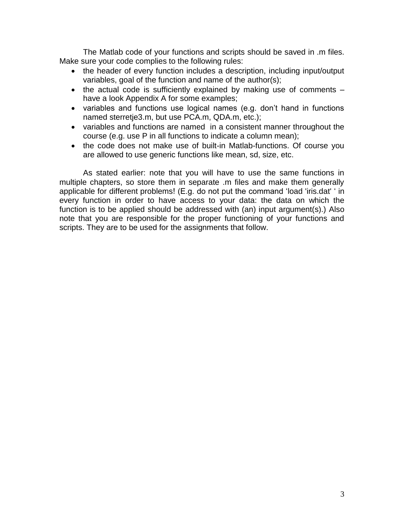The Matlab code of your functions and scripts should be saved in .m files. Make sure your code complies to the following rules:

- the header of every function includes a description, including input/output variables, goal of the function and name of the author(s);
- the actual code is sufficiently explained by making use of comments  $$ have a look Appendix A for some examples;
- variables and functions use logical names (e.g. don't hand in functions named sterretje3.m, but use PCA.m, QDA.m, etc.);
- variables and functions are named in a consistent manner throughout the course (e.g. use P in all functions to indicate a column mean);
- the code does not make use of built-in Matlab-functions. Of course you are allowed to use generic functions like mean, sd, size, etc.

As stated earlier: note that you will have to use the same functions in multiple chapters, so store them in separate .m files and make them generally applicable for different problems! (E.g. do not put the command 'load 'iris.dat' ' in every function in order to have access to your data: the data on which the function is to be applied should be addressed with (an) input argument(s).) Also note that you are responsible for the proper functioning of your functions and scripts. They are to be used for the assignments that follow.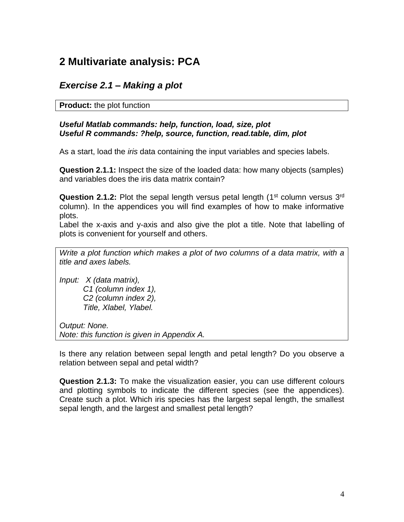# **2 Multivariate analysis: PCA**

## *Exercise 2.1 – Making a plot*

#### **Product:** the plot function

#### *Useful Matlab commands: help, function, load, size, plot Useful R commands: ?help, source, function, read.table, dim, plot*

As a start, load the *iris* data containing the input variables and species labels.

**Question 2.1.1:** Inspect the size of the loaded data: how many objects (samples) and variables does the iris data matrix contain?

Question 2.1.2: Plot the sepal length versus petal length (1<sup>st</sup> column versus 3<sup>rd</sup> column). In the appendices you will find examples of how to make informative plots.

Label the x-axis and y-axis and also give the plot a title. Note that labelling of plots is convenient for yourself and others.

*Write a plot function which makes a plot of two columns of a data matrix, with a title and axes labels.*

*Input: X (data matrix), C1 (column index 1), C2 (column index 2), Title, Xlabel, Ylabel.*

*Output: None. Note: this function is given in Appendix A.*

Is there any relation between sepal length and petal length? Do you observe a relation between sepal and petal width?

**Question 2.1.3:** To make the visualization easier, you can use different colours and plotting symbols to indicate the different species (see the appendices). Create such a plot. Which iris species has the largest sepal length, the smallest sepal length, and the largest and smallest petal length?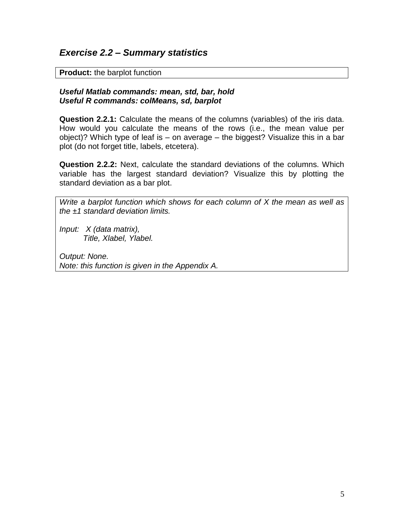#### *Exercise 2.2 – Summary statistics*

**Product:** the barplot function

#### *Useful Matlab commands: mean, std, bar, hold Useful R commands: colMeans, sd, barplot*

**Question 2.2.1:** Calculate the means of the columns (variables) of the iris data. How would you calculate the means of the rows (i.e., the mean value per object)? Which type of leaf is – on average – the biggest? Visualize this in a bar plot (do not forget title, labels, etcetera).

**Question 2.2.2:** Next, calculate the standard deviations of the columns. Which variable has the largest standard deviation? Visualize this by plotting the standard deviation as a bar plot.

*Write a barplot function which shows for each column of X the mean as well as the ±1 standard deviation limits.*

*Input: X (data matrix), Title, Xlabel, Ylabel.*

*Output: None. Note: this function is given in the Appendix A.*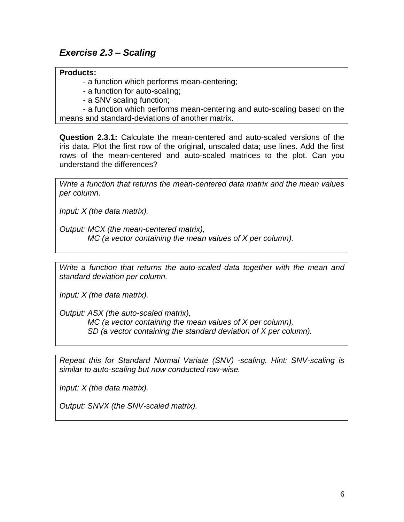## *Exercise 2.3 – Scaling*

#### **Products:**

- a function which performs mean-centering;
- a function for auto-scaling;
- a SNV scaling function;

- a function which performs mean-centering and auto-scaling based on the means and standard-deviations of another matrix.

**Question 2.3.1:** Calculate the mean-centered and auto-scaled versions of the iris data. Plot the first row of the original, unscaled data; use lines. Add the first rows of the mean-centered and auto-scaled matrices to the plot. Can you understand the differences?

*Write a function that returns the mean-centered data matrix and the mean values per column.*

*Input: X (the data matrix).*

*Output: MCX (the mean-centered matrix), MC (a vector containing the mean values of X per column).*

*Write a function that returns the auto-scaled data together with the mean and standard deviation per column.*

*Input: X (the data matrix).*

*Output: ASX (the auto-scaled matrix), MC (a vector containing the mean values of X per column),*

 *SD (a vector containing the standard deviation of X per column).*

*Repeat this for Standard Normal Variate (SNV) -scaling. Hint: SNV-scaling is similar to auto-scaling but now conducted row-wise.*

*Input: X (the data matrix).*

*Output: SNVX (the SNV-scaled matrix).*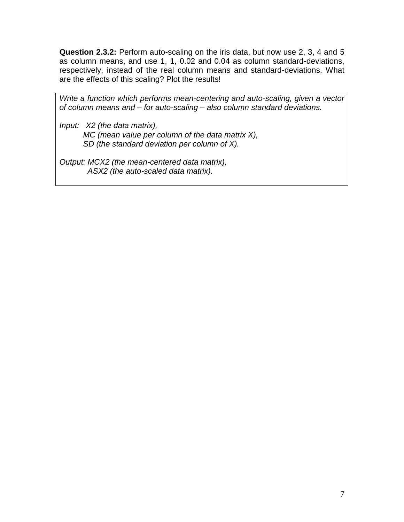**Question 2.3.2:** Perform auto-scaling on the iris data, but now use 2, 3, 4 and 5 as column means, and use 1, 1, 0.02 and 0.04 as column standard-deviations, respectively, instead of the real column means and standard-deviations. What are the effects of this scaling? Plot the results!

*Write a function which performs mean-centering and auto-scaling, given a vector of column means and – for auto-scaling – also column standard deviations.*

*Input: X2 (the data matrix), MC (mean value per column of the data matrix X), SD (the standard deviation per column of X).*

*Output: MCX2 (the mean-centered data matrix), ASX2 (the auto-scaled data matrix).*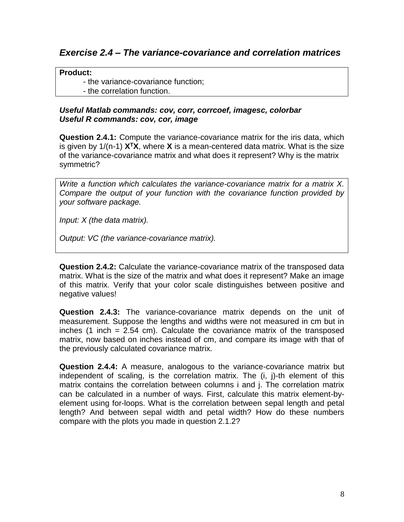## *Exercise 2.4 – The variance-covariance and correlation matrices*

#### **Product:**

- the variance-covariance function;
- the correlation function.

#### *Useful Matlab commands: cov, corr, corrcoef, imagesc, colorbar Useful R commands: cov, cor, image*

**Question 2.4.1:** Compute the variance-covariance matrix for the iris data, which is given by 1/(n-1) **X<sup>T</sup>X**, where **X** is a mean-centered data matrix. What is the size of the variance-covariance matrix and what does it represent? Why is the matrix symmetric?

*Write a function which calculates the variance-covariance matrix for a matrix X. Compare the output of your function with the covariance function provided by your software package.*

*Input: X (the data matrix).*

*Output: VC (the variance-covariance matrix).*

**Question 2.4.2:** Calculate the variance-covariance matrix of the transposed data matrix. What is the size of the matrix and what does it represent? Make an image of this matrix. Verify that your color scale distinguishes between positive and negative values!

**Question 2.4.3:** The variance-covariance matrix depends on the unit of measurement. Suppose the lengths and widths were not measured in cm but in inches (1 inch  $= 2.54$  cm). Calculate the covariance matrix of the transposed matrix, now based on inches instead of cm, and compare its image with that of the previously calculated covariance matrix.

**Question 2.4.4:** A measure, analogous to the variance-covariance matrix but independent of scaling, is the correlation matrix. The (i, j)-th element of this matrix contains the correlation between columns i and j. The correlation matrix can be calculated in a number of ways. First, calculate this matrix element-byelement using for-loops. What is the correlation between sepal length and petal length? And between sepal width and petal width? How do these numbers compare with the plots you made in question 2.1.2?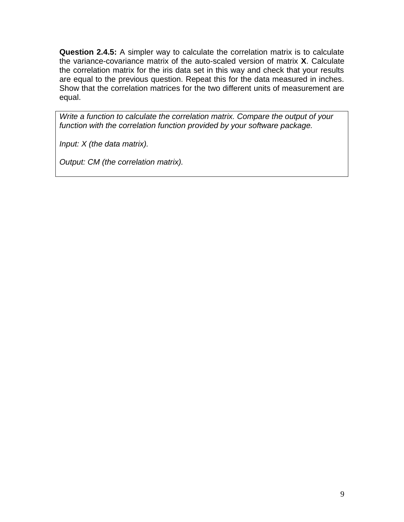**Question 2.4.5:** A simpler way to calculate the correlation matrix is to calculate the variance-covariance matrix of the auto-scaled version of matrix **X**. Calculate the correlation matrix for the iris data set in this way and check that your results are equal to the previous question. Repeat this for the data measured in inches. Show that the correlation matrices for the two different units of measurement are equal.

*Write a function to calculate the correlation matrix. Compare the output of your function with the correlation function provided by your software package.*

*Input: X (the data matrix).*

*Output: CM (the correlation matrix).*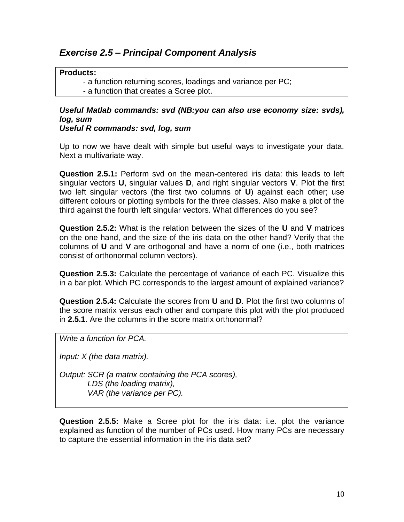## *Exercise 2.5 – Principal Component Analysis*

#### **Products:**

- a function returning scores, loadings and variance per PC;

- a function that creates a Scree plot.

## *Useful Matlab commands: svd (NB:you can also use economy size: svds), log, sum*

*Useful R commands: svd, log, sum*

Up to now we have dealt with simple but useful ways to investigate your data. Next a multivariate way.

**Question 2.5.1:** Perform svd on the mean-centered iris data: this leads to left singular vectors **U**, singular values **D**, and right singular vectors **V**. Plot the first two left singular vectors (the first two columns of **U**) against each other; use different colours or plotting symbols for the three classes. Also make a plot of the third against the fourth left singular vectors. What differences do you see?

**Question 2.5.2:** What is the relation between the sizes of the **U** and **V** matrices on the one hand, and the size of the iris data on the other hand? Verify that the columns of **U** and **V** are orthogonal and have a norm of one (i.e., both matrices consist of orthonormal column vectors).

**Question 2.5.3:** Calculate the percentage of variance of each PC. Visualize this in a bar plot. Which PC corresponds to the largest amount of explained variance?

**Question 2.5.4:** Calculate the scores from **U** and **D**. Plot the first two columns of the score matrix versus each other and compare this plot with the plot produced in **2.5.1**. Are the columns in the score matrix orthonormal?

*Write a function for PCA.*

*Input: X (the data matrix).*

*Output: SCR (a matrix containing the PCA scores), LDS (the loading matrix), VAR (the variance per PC).*

**Question 2.5.5:** Make a Scree plot for the iris data: i.e. plot the variance explained as function of the number of PCs used. How many PCs are necessary to capture the essential information in the iris data set?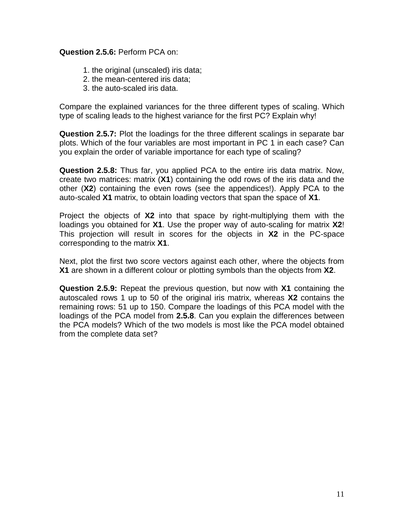#### **Question 2.5.6:** Perform PCA on:

- 1. the original (unscaled) iris data;
- 2. the mean-centered iris data;
- 3. the auto-scaled iris data.

Compare the explained variances for the three different types of scaling. Which type of scaling leads to the highest variance for the first PC? Explain why!

**Question 2.5.7:** Plot the loadings for the three different scalings in separate bar plots. Which of the four variables are most important in PC 1 in each case? Can you explain the order of variable importance for each type of scaling?

**Question 2.5.8:** Thus far, you applied PCA to the entire iris data matrix. Now, create two matrices: matrix (**X1**) containing the odd rows of the iris data and the other (**X2**) containing the even rows (see the appendices!). Apply PCA to the auto-scaled **X1** matrix, to obtain loading vectors that span the space of **X1**.

Project the objects of **X2** into that space by right-multiplying them with the loadings you obtained for **X1**. Use the proper way of auto-scaling for matrix **X2**! This projection will result in scores for the objects in **X2** in the PC-space corresponding to the matrix **X1**.

Next, plot the first two score vectors against each other, where the objects from **X1** are shown in a different colour or plotting symbols than the objects from **X2**.

**Question 2.5.9:** Repeat the previous question, but now with **X1** containing the autoscaled rows 1 up to 50 of the original iris matrix, whereas **X2** contains the remaining rows: 51 up to 150. Compare the loadings of this PCA model with the loadings of the PCA model from **2.5.8**. Can you explain the differences between the PCA models? Which of the two models is most like the PCA model obtained from the complete data set?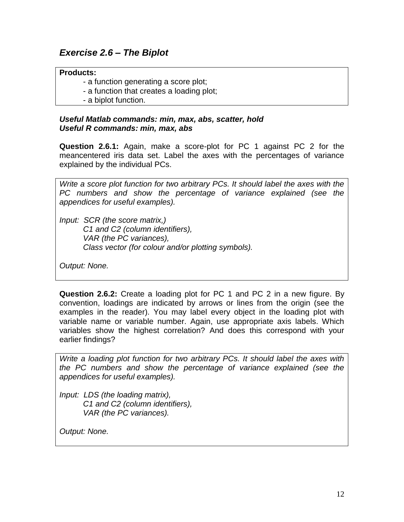## *Exercise 2.6 – The Biplot*

#### **Products:**

- a function generating a score plot;
- a function that creates a loading plot;
- a biplot function.

#### *Useful Matlab commands: min, max, abs, scatter, hold Useful R commands: min, max, abs*

**Question 2.6.1:** Again, make a score-plot for PC 1 against PC 2 for the meancentered iris data set. Label the axes with the percentages of variance explained by the individual PCs.

*Write a score plot function for two arbitrary PCs. It should label the axes with the PC numbers and show the percentage of variance explained (see the appendices for useful examples).*

*Input: SCR (the score matrix,) C1 and C2 (column identifiers), VAR (the PC variances), Class vector (for colour and/or plotting symbols).*

*Output: None.*

**Question 2.6.2:** Create a loading plot for PC 1 and PC 2 in a new figure. By convention, loadings are indicated by arrows or lines from the origin (see the examples in the reader). You may label every object in the loading plot with variable name or variable number. Again, use appropriate axis labels. Which variables show the highest correlation? And does this correspond with your earlier findings?

*Write a loading plot function for two arbitrary PCs. It should label the axes with the PC numbers and show the percentage of variance explained (see the appendices for useful examples).*

*Input: LDS (the loading matrix), C1 and C2 (column identifiers), VAR (the PC variances).*

*Output: None.*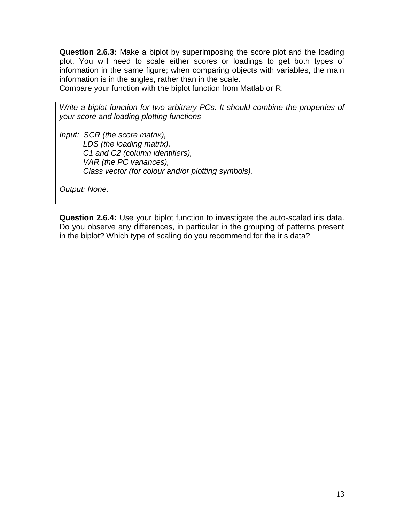**Question 2.6.3:** Make a biplot by superimposing the score plot and the loading plot. You will need to scale either scores or loadings to get both types of information in the same figure; when comparing objects with variables, the main information is in the angles, rather than in the scale.

Compare your function with the biplot function from Matlab or R.

*Write a biplot function for two arbitrary PCs. It should combine the properties of your score and loading plotting functions*

*Input: SCR (the score matrix), LDS (the loading matrix), C1 and C2 (column identifiers), VAR (the PC variances), Class vector (for colour and/or plotting symbols).*

*Output: None.*

**Question 2.6.4:** Use your biplot function to investigate the auto-scaled iris data. Do you observe any differences, in particular in the grouping of patterns present in the biplot? Which type of scaling do you recommend for the iris data?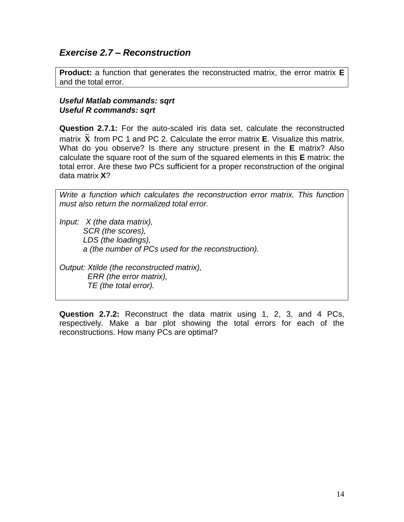## *Exercise 2.7 – Reconstruction*

**Product:** a function that generates the reconstructed matrix, the error matrix **E** and the total error.

#### *Useful Matlab commands: sqrt Useful R commands: sqrt*

**Question 2.7.1:** For the auto-scaled iris data set, calculate the reconstructed matrix  $\tilde{\mathbf{X}}$  from PC 1 and PC 2. Calculate the error matrix **E**. Visualize this matrix. What do you observe? Is there any structure present in the **E** matrix? Also calculate the square root of the sum of the squared elements in this **E** matrix: the total error. Are these two PCs sufficient for a proper reconstruction of the original data matrix **X**?

*Write a function which calculates the reconstruction error matrix. This function must also return the normalized total error.*

*Input: X (the data matrix), SCR (the scores), LDS (the loadings), a (the number of PCs used for the reconstruction).*

*Output: Xtilde (the reconstructed matrix), ERR (the error matrix), TE (the total error).*

**Question 2.7.2:** Reconstruct the data matrix using 1, 2, 3, and 4 PCs, respectively. Make a bar plot showing the total errors for each of the reconstructions. How many PCs are optimal?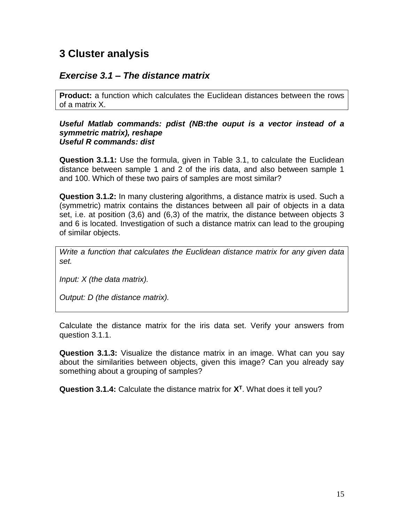# **3 Cluster analysis**

## *Exercise 3.1 – The distance matrix*

**Product:** a function which calculates the Euclidean distances between the rows of a matrix X.

#### *Useful Matlab commands: pdist (NB:the ouput is a vector instead of a symmetric matrix), reshape Useful R commands: dist*

**Question 3.1.1:** Use the formula, given in Table 3.1, to calculate the Euclidean distance between sample 1 and 2 of the iris data, and also between sample 1 and 100. Which of these two pairs of samples are most similar?

**Question 3.1.2:** In many clustering algorithms, a distance matrix is used. Such a (symmetric) matrix contains the distances between all pair of objects in a data set, i.e. at position (3,6) and (6,3) of the matrix, the distance between objects 3 and 6 is located. Investigation of such a distance matrix can lead to the grouping of similar objects.

*Write a function that calculates the Euclidean distance matrix for any given data set.*

*Input: X (the data matrix).*

*Output: D (the distance matrix).*

Calculate the distance matrix for the iris data set. Verify your answers from question 3.1.1.

**Question 3.1.3:** Visualize the distance matrix in an image. What can you say about the similarities between objects, given this image? Can you already say something about a grouping of samples?

**Question 3.1.4:** Calculate the distance matrix for **X<sup>T</sup>** . What does it tell you?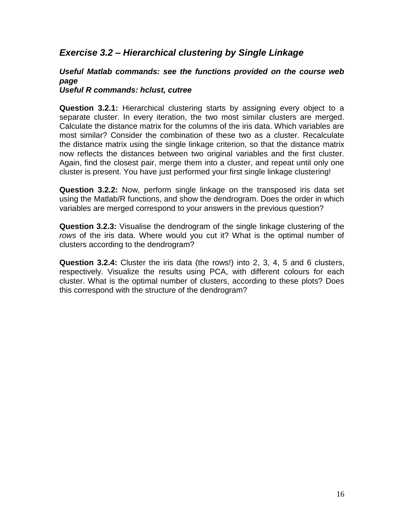## *Exercise 3.2 – Hierarchical clustering by Single Linkage*

#### *Useful Matlab commands: see the functions provided on the course web page*

*Useful R commands: hclust, cutree*

**Question 3.2.1:** Hierarchical clustering starts by assigning every object to a separate cluster. In every iteration, the two most similar clusters are merged. Calculate the distance matrix for the columns of the iris data. Which variables are most similar? Consider the combination of these two as a cluster. Recalculate the distance matrix using the single linkage criterion, so that the distance matrix now reflects the distances between two original variables and the first cluster. Again, find the closest pair, merge them into a cluster, and repeat until only one cluster is present. You have just performed your first single linkage clustering!

**Question 3.2.2:** Now, perform single linkage on the transposed iris data set using the Matlab/R functions, and show the dendrogram. Does the order in which variables are merged correspond to your answers in the previous question?

**Question 3.2.3:** Visualise the dendrogram of the single linkage clustering of the *rows* of the iris data. Where would you cut it? What is the optimal number of clusters according to the dendrogram?

**Question 3.2.4:** Cluster the iris data (the rows!) into 2, 3, 4, 5 and 6 clusters, respectively. Visualize the results using PCA, with different colours for each cluster. What is the optimal number of clusters, according to these plots? Does this correspond with the structure of the dendrogram?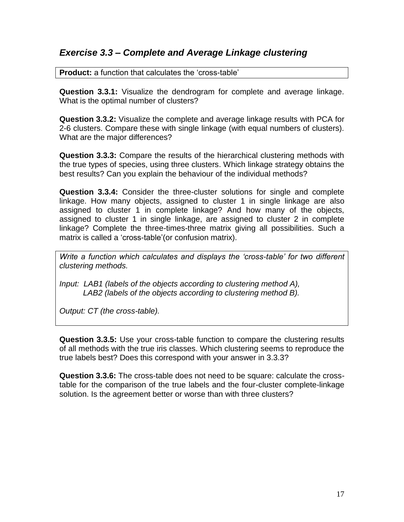## *Exercise 3.3 – Complete and Average Linkage clustering*

**Product:** a function that calculates the 'cross-table'

**Question 3.3.1:** Visualize the dendrogram for complete and average linkage. What is the optimal number of clusters?

**Question 3.3.2:** Visualize the complete and average linkage results with PCA for 2-6 clusters. Compare these with single linkage (with equal numbers of clusters). What are the major differences?

**Question 3.3.3:** Compare the results of the hierarchical clustering methods with the true types of species, using three clusters. Which linkage strategy obtains the best results? Can you explain the behaviour of the individual methods?

**Question 3.3.4:** Consider the three-cluster solutions for single and complete linkage. How many objects, assigned to cluster 1 in single linkage are also assigned to cluster 1 in complete linkage? And how many of the objects, assigned to cluster 1 in single linkage, are assigned to cluster 2 in complete linkage? Complete the three-times-three matrix giving all possibilities. Such a matrix is called a 'cross-table'(or confusion matrix).

*Write a function which calculates and displays the 'cross-table' for two different clustering methods.*

*Input: LAB1 (labels of the objects according to clustering method A), LAB2 (labels of the objects according to clustering method B).*

*Output: CT (the cross-table).*

**Question 3.3.5:** Use your cross-table function to compare the clustering results of all methods with the true iris classes. Which clustering seems to reproduce the true labels best? Does this correspond with your answer in 3.3.3?

**Question 3.3.6:** The cross-table does not need to be square: calculate the crosstable for the comparison of the true labels and the four-cluster complete-linkage solution. Is the agreement better or worse than with three clusters?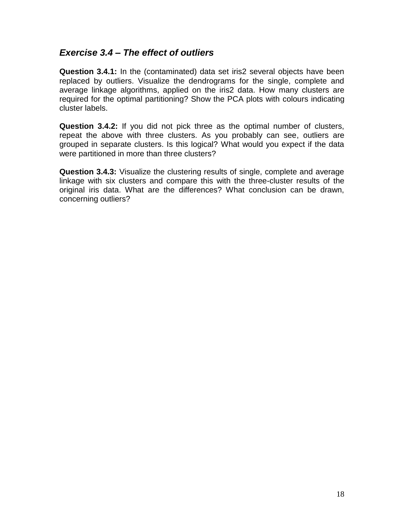## *Exercise 3.4 – The effect of outliers*

**Question 3.4.1:** In the (contaminated) data set iris2 several objects have been replaced by outliers. Visualize the dendrograms for the single, complete and average linkage algorithms, applied on the iris2 data. How many clusters are required for the optimal partitioning? Show the PCA plots with colours indicating cluster labels.

**Question 3.4.2:** If you did not pick three as the optimal number of clusters, repeat the above with three clusters. As you probably can see, outliers are grouped in separate clusters. Is this logical? What would you expect if the data were partitioned in more than three clusters?

**Question 3.4.3:** Visualize the clustering results of single, complete and average linkage with six clusters and compare this with the three-cluster results of the original iris data. What are the differences? What conclusion can be drawn, concerning outliers?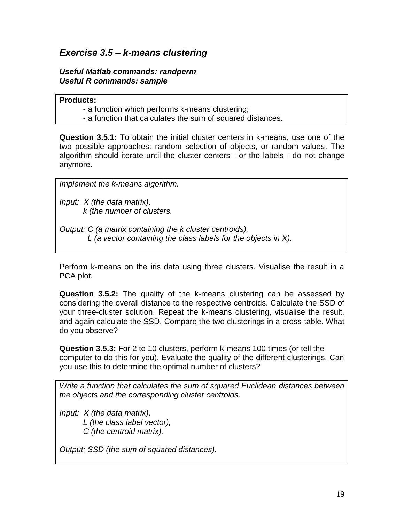## *Exercise 3.5 – k-means clustering*

#### *Useful Matlab commands: randperm Useful R commands: sample*

#### **Products:**

- a function which performs k-means clustering;
- a function that calculates the sum of squared distances.

**Question 3.5.1:** To obtain the initial cluster centers in k-means, use one of the two possible approaches: random selection of objects, or random values. The algorithm should iterate until the cluster centers - or the labels - do not change anymore.

*Implement the k-means algorithm.*

*Input: X (the data matrix), k (the number of clusters.*

*Output: C (a matrix containing the k cluster centroids), L (a vector containing the class labels for the objects in X).*

Perform k-means on the iris data using three clusters. Visualise the result in a PCA plot.

**Question 3.5.2:** The quality of the k-means clustering can be assessed by considering the overall distance to the respective centroids. Calculate the SSD of your three-cluster solution. Repeat the k-means clustering, visualise the result, and again calculate the SSD. Compare the two clusterings in a cross-table. What do you observe?

**Question 3.5.3:** For 2 to 10 clusters, perform k-means 100 times (or tell the computer to do this for you). Evaluate the quality of the different clusterings. Can you use this to determine the optimal number of clusters?

*Write a function that calculates the sum of squared Euclidean distances between the objects and the corresponding cluster centroids.*

*Input: X (the data matrix), L (the class label vector), C (the centroid matrix).*

*Output: SSD (the sum of squared distances).*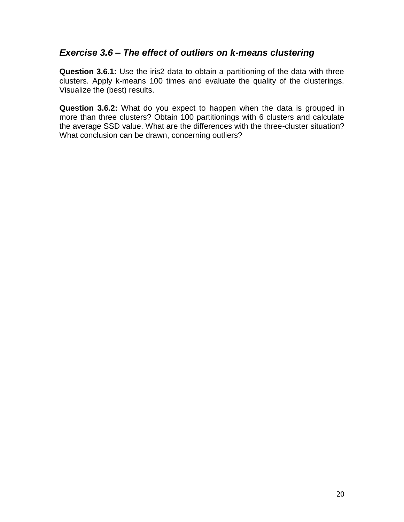#### *Exercise 3.6 – The effect of outliers on k-means clustering*

**Question 3.6.1:** Use the iris2 data to obtain a partitioning of the data with three clusters. Apply k-means 100 times and evaluate the quality of the clusterings. Visualize the (best) results.

**Question 3.6.2:** What do you expect to happen when the data is grouped in more than three clusters? Obtain 100 partitionings with 6 clusters and calculate the average SSD value. What are the differences with the three-cluster situation? What conclusion can be drawn, concerning outliers?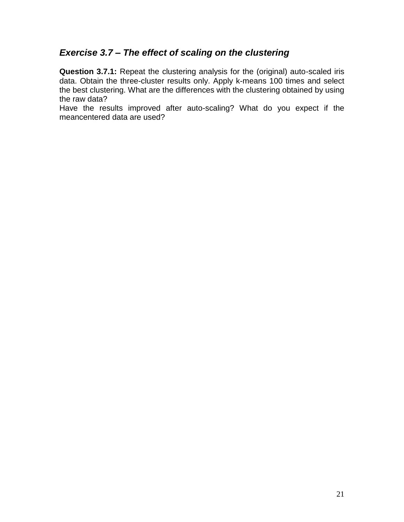## *Exercise 3.7 – The effect of scaling on the clustering*

**Question 3.7.1:** Repeat the clustering analysis for the (original) auto-scaled iris data. Obtain the three-cluster results only. Apply k-means 100 times and select the best clustering. What are the differences with the clustering obtained by using the raw data?

Have the results improved after auto-scaling? What do you expect if the meancentered data are used?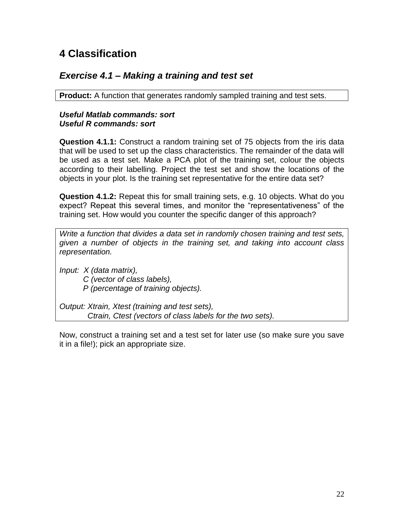# **4 Classification**

## *Exercise 4.1 – Making a training and test set*

**Product:** A function that generates randomly sampled training and test sets.

#### *Useful Matlab commands: sort Useful R commands: sort*

**Question 4.1.1:** Construct a random training set of 75 objects from the iris data that will be used to set up the class characteristics. The remainder of the data will be used as a test set. Make a PCA plot of the training set, colour the objects according to their labelling. Project the test set and show the locations of the objects in your plot. Is the training set representative for the entire data set?

**Question 4.1.2:** Repeat this for small training sets, e.g. 10 objects. What do you expect? Repeat this several times, and monitor the "representativeness" of the training set. How would you counter the specific danger of this approach?

*Write a function that divides a data set in randomly chosen training and test sets, given a number of objects in the training set, and taking into account class representation.*

*Input: X (data matrix), C (vector of class labels), P (percentage of training objects).*

*Output: Xtrain, Xtest (training and test sets), Ctrain, Ctest (vectors of class labels for the two sets).*

Now, construct a training set and a test set for later use (so make sure you save it in a file!); pick an appropriate size.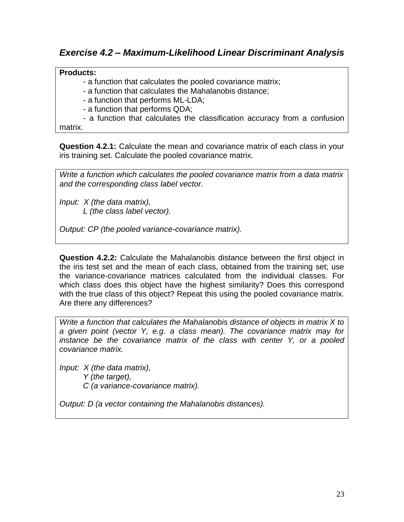#### **Products:**

- a function that calculates the pooled covariance matrix;

- a function that calculates the Mahalanobis distance;

- a function that performs ML-LDA;

- a function that performs QDA;

- a function that calculates the classification accuracy from a confusion matrix.

**Question 4.2.1:** Calculate the mean and covariance matrix of each class in your iris training set. Calculate the pooled covariance matrix.

*Write a function which calculates the pooled covariance matrix from a data matrix and the corresponding class label vector.*

*Input: X (the data matrix), L (the class label vector).*

*Output: CP (the pooled variance-covariance matrix).*

**Question 4.2.2:** Calculate the Mahalanobis distance between the first object in the iris test set and the mean of each class, obtained from the training set; use the variance-covariance matrices calculated from the individual classes. For which class does this object have the highest similarity? Does this correspond with the true class of this object? Repeat this using the pooled covariance matrix. Are there any differences?

*Write a function that calculates the Mahalanobis distance of objects in matrix X to a given point (vector Y, e.g. a class mean). The covariance matrix may for instance be the covariance matrix of the class with center Y, or a pooled covariance matrix.*

*Input: X (the data matrix), Y (the target), C (a variance-covariance matrix).*

*Output: D (a vector containing the Mahalanobis distances).*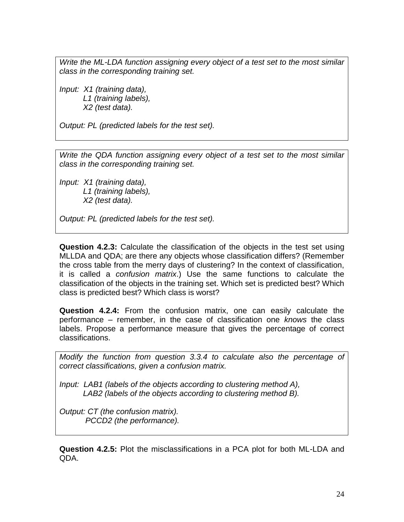*Write the ML-LDA function assigning every object of a test set to the most similar class in the corresponding training set.*

*Input: X1 (training data), L1 (training labels), X2 (test data).*

*Output: PL (predicted labels for the test set).*

*Write the QDA function assigning every object of a test set to the most similar class in the corresponding training set.*

*Input: X1 (training data), L1 (training labels), X2 (test data).*

*Output: PL (predicted labels for the test set).*

**Question 4.2.3:** Calculate the classification of the objects in the test set using MLLDA and QDA; are there any objects whose classification differs? (Remember the cross table from the merry days of clustering? In the context of classification, it is called a *confusion matrix*.) Use the same functions to calculate the classification of the objects in the training set. Which set is predicted best? Which class is predicted best? Which class is worst?

**Question 4.2.4:** From the confusion matrix, one can easily calculate the performance – remember, in the case of classification one *knows* the class labels. Propose a performance measure that gives the percentage of correct classifications.

*Modify the function from question 3.3.4 to calculate also the percentage of correct classifications, given a confusion matrix.*

*Input: LAB1 (labels of the objects according to clustering method A), LAB2 (labels of the objects according to clustering method B).*

*Output: CT (the confusion matrix). PCCD2 (the performance).*

**Question 4.2.5:** Plot the misclassifications in a PCA plot for both ML-LDA and QDA.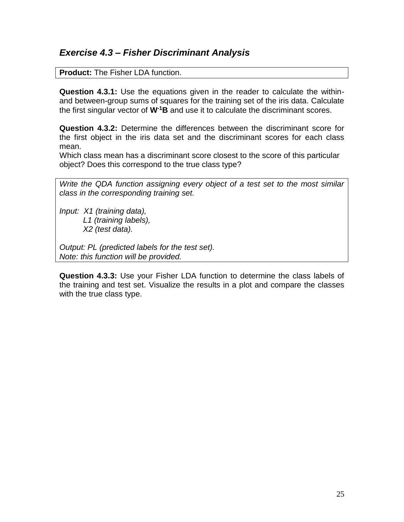## *Exercise 4.3 – Fisher Discriminant Analysis*

**Product:** The Fisher LDA function.

**Question 4.3.1:** Use the equations given in the reader to calculate the withinand between-group sums of squares for the training set of the iris data. Calculate the first singular vector of **W-1B** and use it to calculate the discriminant scores.

**Question 4.3.2:** Determine the differences between the discriminant score for the first object in the iris data set and the discriminant scores for each class mean.

Which class mean has a discriminant score closest to the score of this particular object? Does this correspond to the true class type?

*Write the QDA function assigning every object of a test set to the most similar class in the corresponding training set.*

*Input: X1 (training data), L1 (training labels), X2 (test data).*

*Output: PL (predicted labels for the test set). Note: this function will be provided.*

**Question 4.3.3:** Use your Fisher LDA function to determine the class labels of the training and test set. Visualize the results in a plot and compare the classes with the true class type.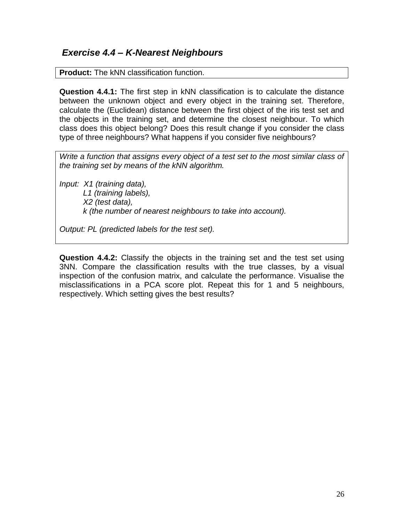## *Exercise 4.4 – K-Nearest Neighbours*

**Product:** The kNN classification function.

**Question 4.4.1:** The first step in kNN classification is to calculate the distance between the unknown object and every object in the training set. Therefore, calculate the (Euclidean) distance between the first object of the iris test set and the objects in the training set, and determine the closest neighbour. To which class does this object belong? Does this result change if you consider the class type of three neighbours? What happens if you consider five neighbours?

*Write a function that assigns every object of a test set to the most similar class of the training set by means of the kNN algorithm.*

*Input: X1 (training data), L1 (training labels), X2 (test data), k (the number of nearest neighbours to take into account).*

*Output: PL (predicted labels for the test set).*

**Question 4.4.2:** Classify the objects in the training set and the test set using 3NN. Compare the classification results with the true classes, by a visual inspection of the confusion matrix, and calculate the performance. Visualise the misclassifications in a PCA score plot. Repeat this for 1 and 5 neighbours, respectively. Which setting gives the best results?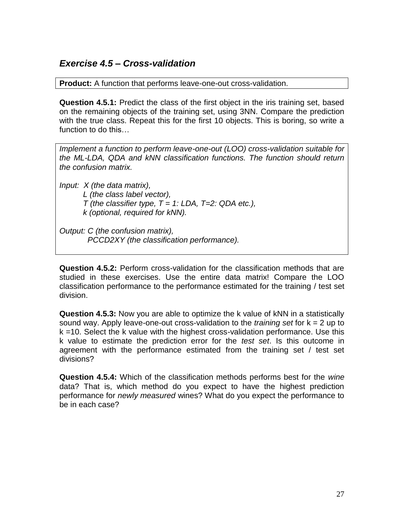## *Exercise 4.5 – Cross-validation*

**Product:** A function that performs leave-one-out cross-validation.

**Question 4.5.1:** Predict the class of the first object in the iris training set, based on the remaining objects of the training set, using 3NN. Compare the prediction with the true class. Repeat this for the first 10 objects. This is boring, so write a function to do this…

*Implement a function to perform leave-one-out (LOO) cross-validation suitable for the ML-LDA, QDA and kNN classification functions. The function should return the confusion matrix.*

*Input: X (the data matrix),*

*L (the class label vector),*

*T (the classifier type, T = 1: LDA, T=2: QDA etc.),*

*k (optional, required for kNN).*

*Output: C (the confusion matrix), PCCD2XY (the classification performance).*

**Question 4.5.2:** Perform cross-validation for the classification methods that are studied in these exercises. Use the entire data matrix! Compare the LOO classification performance to the performance estimated for the training / test set division.

**Question 4.5.3:** Now you are able to optimize the k value of kNN in a statistically sound way. Apply leave-one-out cross-validation to the *training set* for k = 2 up to k =10. Select the k value with the highest cross-validation performance. Use this k value to estimate the prediction error for the *test set*. Is this outcome in agreement with the performance estimated from the training set / test set divisions?

**Question 4.5.4:** Which of the classification methods performs best for the *wine*  data? That is, which method do you expect to have the highest prediction performance for *newly measured* wines? What do you expect the performance to be in each case?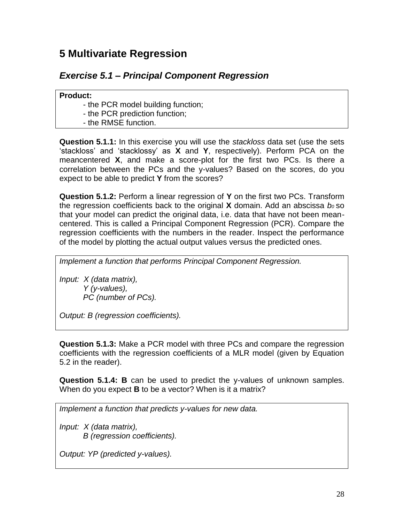# **5 Multivariate Regression**

## *Exercise 5.1 – Principal Component Regression*

**Product:** 

- the PCR model building function;

- the PCR prediction function;

- the RMSE function.

**Question 5.1.1:** In this exercise you will use the *stackloss* data set (use the sets 'stackloss' and 'stacklossy' as **X** and **Y**, respectively). Perform PCA on the meancentered **X**, and make a score-plot for the first two PCs. Is there a correlation between the PCs and the y-values? Based on the scores, do you expect to be able to predict **Y** from the scores?

**Question 5.1.2:** Perform a linear regression of **Y** on the first two PCs. Transform the regression coefficients back to the original **X** domain. Add an abscissa *b0* so that your model can predict the original data, i.e. data that have not been meancentered. This is called a Principal Component Regression (PCR). Compare the regression coefficients with the numbers in the reader. Inspect the performance of the model by plotting the actual output values versus the predicted ones.

*Implement a function that performs Principal Component Regression.*

*Input: X (data matrix), Y (y-values), PC (number of PCs).*

*Output: B (regression coefficients).*

**Question 5.1.3:** Make a PCR model with three PCs and compare the regression coefficients with the regression coefficients of a MLR model (given by Equation 5.2 in the reader).

**Question 5.1.4: B** can be used to predict the y-values of unknown samples. When do you expect **B** to be a vector? When is it a matrix?

*Implement a function that predicts y-values for new data.*

*Input: X (data matrix), B (regression coefficients).*

*Output: YP (predicted y-values).*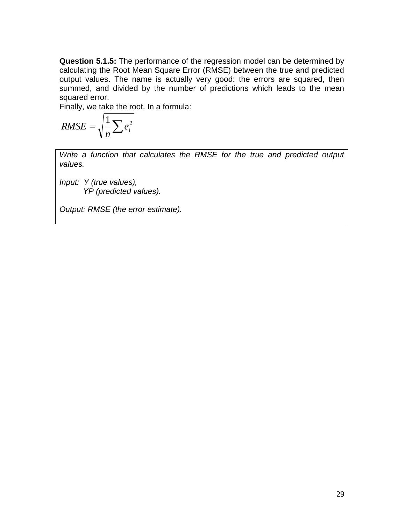**Question 5.1.5:** The performance of the regression model can be determined by calculating the Root Mean Square Error (RMSE) between the true and predicted output values. The name is actually very good: the errors are squared, then summed, and divided by the number of predictions which leads to the mean squared error.

Finally, we take the root. In a formula:

$$
RMSE = \sqrt{\frac{1}{n} \sum e_i^2}
$$

*Write a function that calculates the RMSE for the true and predicted output values.*

*Input: Y (true values), YP (predicted values).*

*Output: RMSE (the error estimate).*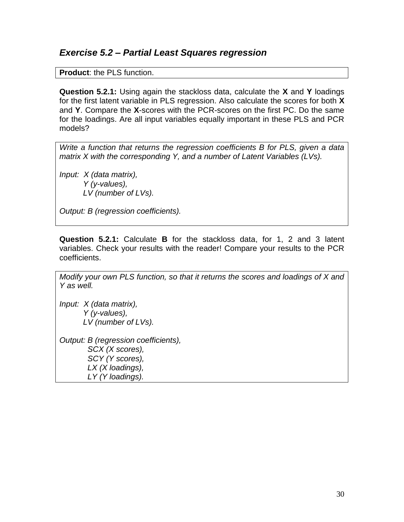#### *Exercise 5.2 – Partial Least Squares regression*

**Product**: the PLS function.

**Question 5.2.1:** Using again the stackloss data, calculate the **X** and **Y** loadings for the first latent variable in PLS regression. Also calculate the scores for both **X**  and **Y**. Compare the **X**-scores with the PCR-scores on the first PC. Do the same for the loadings. Are all input variables equally important in these PLS and PCR models?

*Write a function that returns the regression coefficients B for PLS, given a data matrix X with the corresponding Y, and a number of Latent Variables (LVs).*

*Input: X (data matrix), Y (y-values), LV (number of LVs).*

*Output: B (regression coefficients).*

**Question 5.2.1:** Calculate **B** for the stackloss data, for 1, 2 and 3 latent variables. Check your results with the reader! Compare your results to the PCR coefficients.

*Modify your own PLS function, so that it returns the scores and loadings of X and Y as well.*

*Input: X (data matrix), Y (y-values), LV (number of LVs).*

*Output: B (regression coefficients), SCX (X scores), SCY (Y scores), LX (X loadings), LY (Y loadings).*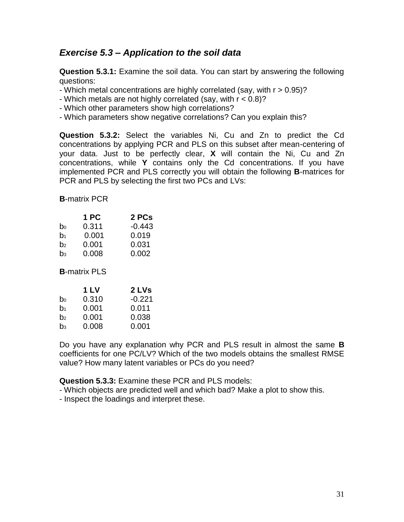## *Exercise 5.3 – Application to the soil data*

**Question 5.3.1:** Examine the soil data. You can start by answering the following questions:

- Which metal concentrations are highly correlated (say, with r > 0.95)?

- Which metals are not highly correlated (say, with r < 0.8)?

- Which other parameters show high correlations?

- Which parameters show negative correlations? Can you explain this?

**Question 5.3.2:** Select the variables Ni, Cu and Zn to predict the Cd concentrations by applying PCR and PLS on this subset after mean-centering of your data. Just to be perfectly clear, **X** will contain the Ni, Cu and Zn concentrations, while **Y** contains only the Cd concentrations. If you have implemented PCR and PLS correctly you will obtain the following **B**-matrices for PCR and PLS by selecting the first two PCs and LVs:

**B**-matrix PCR

|                | 1 PC  | 2 PCs    |
|----------------|-------|----------|
| b <sub>0</sub> | 0.311 | $-0.443$ |
| b <sub>1</sub> | 0.001 | 0.019    |
| b <sub>2</sub> | 0.001 | 0.031    |
| b <sub>3</sub> | 0.008 | 0.002    |

**B**-matrix PLS

|                | 1 LV  | 2 LVs    |
|----------------|-------|----------|
| b <sub>0</sub> | 0.310 | $-0.221$ |
| b <sub>1</sub> | 0.001 | 0.011    |
| b <sub>2</sub> | 0.001 | 0.038    |
| b <sub>3</sub> | 0.008 | 0.001    |

Do you have any explanation why PCR and PLS result in almost the same **B** coefficients for one PC/LV? Which of the two models obtains the smallest RMSE value? How many latent variables or PCs do you need?

**Question 5.3.3:** Examine these PCR and PLS models:

- Which objects are predicted well and which bad? Make a plot to show this.

- Inspect the loadings and interpret these.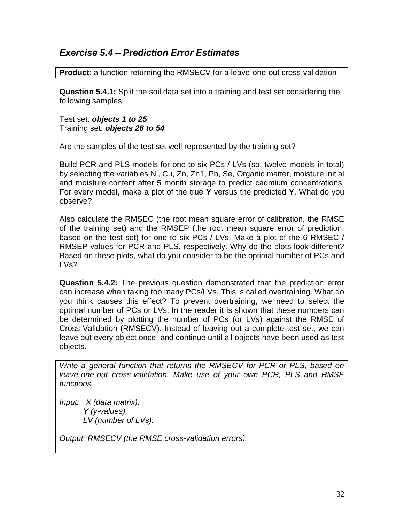## *Exercise 5.4 – Prediction Error Estimates*

**Product**: a function returning the RMSECV for a leave-one-out cross-validation

**Question 5.4.1:** Split the soil data set into a training and test set considering the following samples:

Test set: *objects 1 to 25* Training set: *objects 26 to 54*

Are the samples of the test set well represented by the training set?

Build PCR and PLS models for one to six PCs / LVs (so, twelve models in total) by selecting the variables Ni, Cu, Zn, Zn1, Pb, Se, Organic matter, moisture initial and moisture content after 5 month storage to predict cadmium concentrations. For every model, make a plot of the true **Y** versus the predicted **Y**. What do you observe?

Also calculate the RMSEC (the root mean square error of calibration, the RMSE of the training set) and the RMSEP (the root mean square error of prediction, based on the test set) for one to six PCs / LVs. Make a plot of the 6 RMSEC / RMSEP values for PCR and PLS, respectively. Why do the plots look different? Based on these plots, what do you consider to be the optimal number of PCs and LVs?

**Question 5.4.2:** The previous question demonstrated that the prediction error can increase when taking too many PCs/LVs. This is called overtraining. What do you think causes this effect? To prevent overtraining, we need to select the optimal number of PCs or LVs. In the reader it is shown that these numbers can be determined by plotting the number of PCs (or LVs) against the RMSE of Cross-Validation (RMSECV). Instead of leaving out a complete test set, we can leave out every object once, and continue until all objects have been used as test objects.

*Write a general function that returns the RMSECV for PCR or PLS, based on leave-one-out cross-validation. Make use of your own PCR, PLS and RMSE functions.*

*Input: X (data matrix), Y (y-values), LV (number of LVs).*

*Output: RMSECV (the RMSE cross-validation errors).*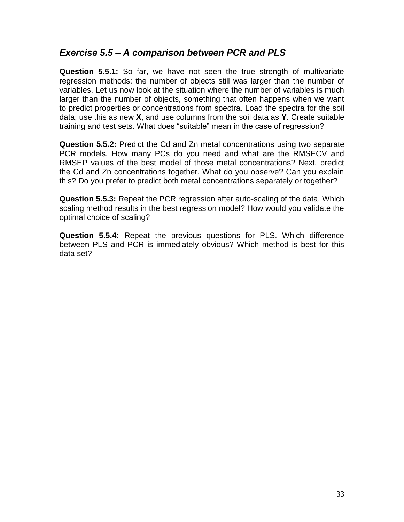## *Exercise 5.5 – A comparison between PCR and PLS*

**Question 5.5.1:** So far, we have not seen the true strength of multivariate regression methods: the number of objects still was larger than the number of variables. Let us now look at the situation where the number of variables is much larger than the number of objects, something that often happens when we want to predict properties or concentrations from spectra. Load the spectra for the soil data; use this as new **X**, and use columns from the soil data as **Y**. Create suitable training and test sets. What does "suitable" mean in the case of regression?

**Question 5.5.2:** Predict the Cd and Zn metal concentrations using two separate PCR models. How many PCs do you need and what are the RMSECV and RMSEP values of the best model of those metal concentrations? Next, predict the Cd and Zn concentrations together. What do you observe? Can you explain this? Do you prefer to predict both metal concentrations separately or together?

**Question 5.5.3:** Repeat the PCR regression after auto-scaling of the data. Which scaling method results in the best regression model? How would you validate the optimal choice of scaling?

**Question 5.5.4:** Repeat the previous questions for PLS. Which difference between PLS and PCR is immediately obvious? Which method is best for this data set?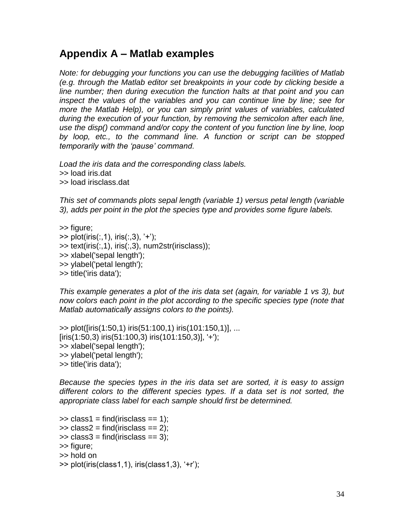# **Appendix A – Matlab examples**

*Note: for debugging your functions you can use the debugging facilities of Matlab (e.g. through the Matlab editor set breakpoints in your code by clicking beside a line number; then during execution the function halts at that point and you can inspect the values of the variables and you can continue line by line; see for more the Matlab Help), or you can simply print values of variables, calculated during the execution of your function, by removing the semicolon after each line, use the disp() command and/or copy the content of you function line by line, loop by loop, etc., to the command line. A function or script can be stopped temporarily with the 'pause' command.*

*Load the iris data and the corresponding class labels.* >> load iris.dat >> load irisclass.dat

*This set of commands plots sepal length (variable 1) versus petal length (variable 3), adds per point in the plot the species type and provides some figure labels.*

>> figure;

 $\Rightarrow$  plot(iris(:,1), iris(:,3), '+');  $\Rightarrow$  text(iris(:,1), iris(:,3), num2str(irisclass)); >> xlabel('sepal length'); >> ylabel('petal length'); >> title('iris data');

*This example generates a plot of the iris data set (again, for variable 1 vs 3), but now colors each point in the plot according to the specific species type (note that Matlab automatically assigns colors to the points).*

>> plot([iris(1:50,1) iris(51:100,1) iris(101:150,1)], ... [iris(1:50,3) iris(51:100,3) iris(101:150,3)], '+'); >> xlabel('sepal length'); >> ylabel('petal length'); >> title('iris data');

*Because the species types in the iris data set are sorted, it is easy to assign different colors to the different species types. If a data set is not sorted, the appropriate class label for each sample should first be determined.*

```
\gg class1 = find(irisclass == 1);
\Rightarrow class2 = find(irisclass == 2);
\Rightarrow class3 = find(irisclass == 3);
>> figure;
>> hold on
>> plot(iris(class1,1), iris(class1,3), '+r');
```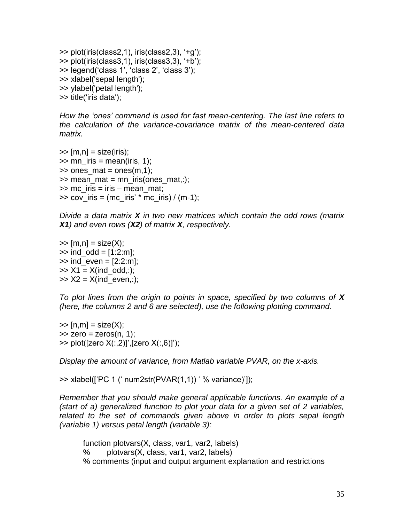>> plot(iris(class2,1), iris(class2,3), '+g'); >> plot(iris(class3,1), iris(class3,3), '+b'); >> legend('class 1', 'class 2', 'class 3'); >> xlabel('sepal length'); >> ylabel('petal length'); >> title('iris data');

*How the 'ones' command is used for fast mean-centering. The last line refers to the calculation of the variance-covariance matrix of the mean-centered data matrix.*

 $\gg$  [m,n] = size(iris);  $\gg$  mn\_iris = mean(iris, 1);  $\gg$  ones mat = ones(m,1);  $\gg$  mean mat = mn\_iris(ones\_mat,:);  $\gg$  mc iris = iris – mean mat;  $\gg$  cov iris = (mc\_iris' \* mc\_iris) / (m-1);

*Divide a data matrix X in two new matrices which contain the odd rows (matrix X1) and even rows (X2) of matrix X, respectively.*

 $\Rightarrow$  [m,n] = size(X);  $\gg$  ind\_odd = [1:2:m];  $\gg$  ind\_even = [2:2:m];  $>> X1 = X(ind\_odd,:)$ ;  $\Rightarrow$  X2 = X(ind even,:);

*To plot lines from the origin to points in space, specified by two columns of X (here, the columns 2 and 6 are selected), use the following plotting command.*

 $\Rightarrow$  [n,m] = size(X);  $\Rightarrow$  zero = zeros(n, 1); >> plot([zero X(:,2)]',[zero X(:,6)]');

*Display the amount of variance, from Matlab variable PVAR, on the x-axis.*

>> xlabel(['PC 1 (' num2str(PVAR(1,1)) ' % variance)']);

*Remember that you should make general applicable functions. An example of a (start of a) generalized function to plot your data for a given set of 2 variables,*  related to the set of commands given above in order to plots sepal length *(variable 1) versus petal length (variable 3):*

function plotvars(X, class, var1, var2, labels) % plotvars(X, class, var1, var2, labels) % comments (input and output argument explanation and restrictions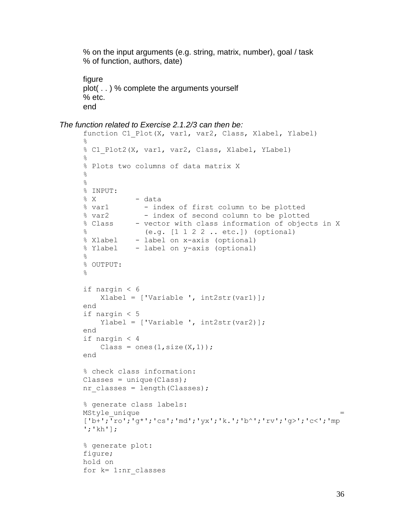% on the input arguments (e.g. string, matrix, number), goal / task % of function, authors, date)

```
figure
plot( . . ) % complete the arguments yourself
% etc.
end
```

```
The function related to Exercise 2.1.2/3 can then be:
```

```
function C1 Plot(X, var1, var2, Class, Xlabel, Ylabel)
\approx% C1 Plot2(X, var1, var2, Class, Xlabel, YLabel)
\frac{6}{5}% Plots two columns of data matrix X
\approx\frac{6}{6}% INPUT: 
% X - data
% var1 - index of first column to be plotted
% var2 - index of second column to be plotted
% Class - vector with class information of objects in X
% (e.g. [1 1 2 2 .. etc.]) (optional)
% Xlabel - label on x-axis (optional)
% Ylabel - label on y-axis (optional)
\approx% OUTPUT:
\frac{8}{3}if nargin < 6
    Xlabel = ['Variable ', int2str(var1)];
end
if nargin < 5
     Ylabel = ['Variable ', int2str(var2)];
end
if nargin < 4
    Class = ones(1, size(X,1));
end
% check class information:
\text{Classes} = \text{unique}(\text{Class});nr classes = length(Classes);
% generate class labels:
MStyle unique
['b+';'ro';'g*';'cs';'md';'yx';'k.';'b^';'rv';'g>';'c<';'mp
';'kh'];
% generate plot:
figure;
hold on
for k= 1:nr_classes
```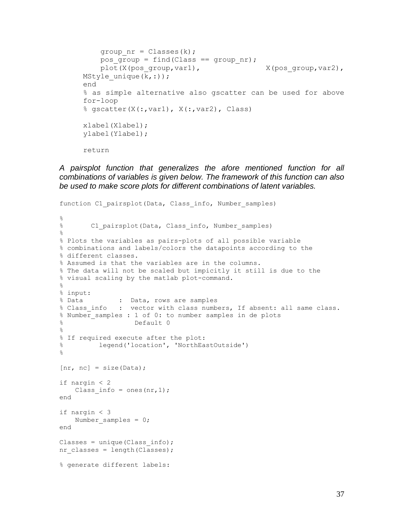```
group nr = Classes(k);pos group = find(Class == group nr);
   plot(X(pos group,var1), X(pos\_group,var2),
MStyle unique(\overline{k},:));
end
% as simple alternative also gscatter can be used for above 
for-loop
% gscatter(X(:,var1), X(:,var2), Class)
xlabel(Xlabel);
ylabel(Ylabel);
return
```
*A pairsplot function that generalizes the afore mentioned function for all combinations of variables is given below. The framework of this function can also be used to make score plots for different combinations of latent variables.*

```
function C1 pairsplot(Data, Class info, Number samples)
\approx% C1 pairsplot(Data, Class info, Number samples)
%
% Plots the variables as pairs-plots of all possible variable
% combinations and labels/colors the datapoints according to the 
% different classes.
% Assumed is that the variables are in the columns.
% The data will not be scaled but impicitly it still is due to the
% visual scaling by the matlab plot-command.
\frac{6}{5}% input:
% Data : Data, rows are samples
% Class info : vector with class numbers, If absent: all same class.
% Number samples : 1 of 0: to number samples in de plots
% Default 0
\approx% If required execute after the plot: 
% legend('location', 'NorthEastOutside')
\%[nr, nc] = size(Data);if nargin < 2
   Class info = ones(nr, 1);
end
if nargin < 3
   Number samples = 0;
end
Classes = unique(Class info);
nr classes = length(Classes);
% generate different labels:
```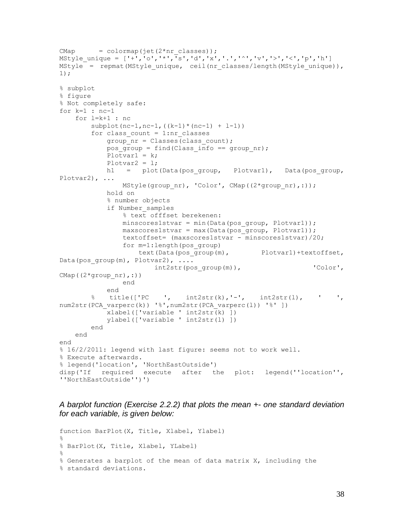```
CMap = colormap(jet(2*nr classes));
MStyle unique = ['+', 'o', '*, ', 's', 'd', 'x', '. ', 'o', 'v', '& ','s', 'p', 'h']MStyle = repmat(MStyle unique, ceil(nr classes/length(MStyle unique)),
1);
% subplot
% figure
% Not completely safe:
for k=1 : nc-1
     for l=k+1 : nc
        subplot(nc-1, nc-1, ((k-1)*(nc-1) + l-1))
        for class count = 1:nr classes
            group nr = Classes(class count);pos group = find(Class info == group nr);
            Plotvar1 = k;
             Plotvar2 = l;
            h1 = plot(Data(pos group, Plotvar1), Data(pos group,
Plotvar2), ...
                MStyle(group nr), 'Color', CMap((2*qroup nr),:));
             hold on
             % number objects
             if Number_samples
                 % text offfset berekenen:
                minscores1stvar = min(Data(pos group, Plotvar1));
                 maxscores1stvar = max(Data(pos_group, Plotvar1));
                 textoffset= (maxscores1stvar - minscores1stvar)/20;
                 for m=1:length(pos_group)
                     text(Data(pos_group(m), Plotvar1)+textoffset, 
Data(pos_group(m), Plotvar2), \ldotsint2str(pos_group(m)), \qquad \qquad 'Color',
CMap((2*group_nr),:))
                 end
             end
        \frac{1}{2} title(['PC ', int2str(k),'-', int2str(1), ' ',
num2str(PCA varperc(k)) '%',num2str(PCA_varperc(l)) '%' ])
            \overline{\text{xlabel}}(['variable ' int2str\overline{\text{(k)}} ])
             ylabel(['variable ' int2str(l) ])
         end
     end
end
% 16/2/2011: legend with last figure: seems not to work well.
% Execute afterwards.
% legend('location', 'NorthEastOutside')
disp('If required execute after the plot: legend(''location'', 
''NorthEastOutside'')')
```
*A barplot function (Exercise 2.2.2) that plots the mean +- one standard deviation for each variable, is given below:*

```
function BarPlot(X, Title, Xlabel, Ylabel)
%
% BarPlot(X, Title, Xlabel, YLabel)
\mathfrak{D}% Generates a barplot of the mean of data matrix X, including the
% standard deviations.
```